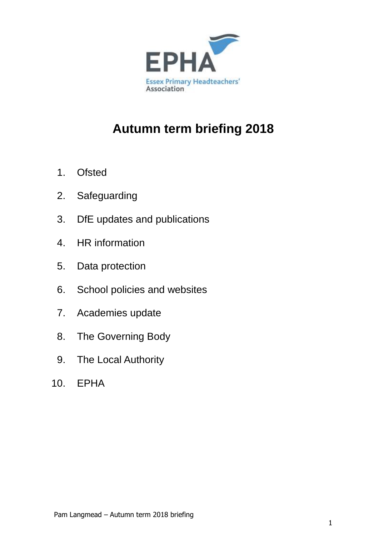

# **Autumn term briefing 2018**

- 1. Ofsted
- 2. Safeguarding
- 3. DfE updates and publications
- 4. HR information
- 5. Data protection
- 6. School policies and websites
- 7. Academies update
- 8. The Governing Body
- 9. The Local Authority
- 10. EPHA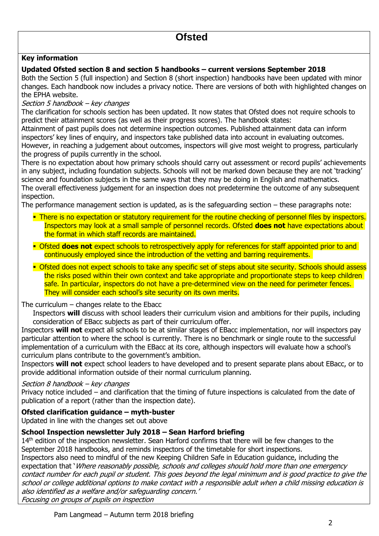### **Key information**

#### **Updated Ofsted section 8 and section 5 handbooks – current versions September 2018**

Both the Section 5 (full inspection) and Section 8 (short inspection) handbooks have been updated with minor changes. Each handbook now includes a privacy notice. There are versions of both with highlighted changes on the EPHA website.

#### Section 5 handbook – key changes

The clarification for schools section has been updated. It now states that Ofsted does not require schools to predict their attainment scores (as well as their progress scores). The handbook states:

Attainment of past pupils does not determine inspection outcomes. Published attainment data can inform inspectors' key lines of enquiry, and inspectors take published data into account in evaluating outcomes. However, in reaching a judgement about outcomes, inspectors will give most weight to progress, particularly the progress of pupils currently in the school.

There is no expectation about how primary schools should carry out assessment or record pupils' achievements in any subject, including foundation subjects. Schools will not be marked down because they are not 'tracking' science and foundation subjects in the same ways that they may be doing in English and mathematics. The overall effectiveness judgement for an inspection does not predetermine the outcome of any subsequent inspection.

The performance management section is updated, as is the safeguarding section – these paragraphs note:

- There is no expectation or statutory requirement for the routine checking of personnel files by inspectors. Inspectors may look at a small sample of personnel records. Ofsted **does not** have expectations about the format in which staff records are maintained.
- **Ofsted does not** expect schools to retrospectively apply for references for staff appointed prior to and continuously employed since the introduction of the vetting and barring requirements.
- **Ofsted does not expect schools to take any specific set of steps about site security. Schools should assess** the risks posed within their own context and take appropriate and proportionate steps to keep children safe. In particular, inspectors do not have a pre-determined view on the need for perimeter fences. They will consider each school's site security on its own merits.

#### The curriculum – changes relate to the Ebacc

Inspectors **will** discuss with school leaders their curriculum vision and ambitions for their pupils, including consideration of EBacc subjects as part of their curriculum offer.

Inspectors **will not** expect all schools to be at similar stages of EBacc implementation, nor will inspectors pay particular attention to where the school is currently. There is no benchmark or single route to the successful implementation of a curriculum with the EBacc at its core, although inspectors will evaluate how a school's curriculum plans contribute to the government's ambition.

Inspectors **will not** expect school leaders to have developed and to present separate plans about EBacc, or to provide additional information outside of their normal curriculum planning.

#### Section 8 handbook – key changes

Privacy notice included – and clarification that the timing of future inspections is calculated from the date of publication of a report (rather than the inspection date).

#### **Ofsted clarification guidance – myth-buster**

Updated in line with the changes set out above

#### **School Inspection newsletter July 2018 – Sean Harford briefing**

14<sup>th</sup> edition of the inspection newsletter. Sean Harford confirms that there will be few changes to the September 2018 handbooks, and reminds inspectors of the timetable for short inspections.

Inspectors also need to mindful of the new Keeping Children Safe in Education guidance, including the expectation that 'Where reasonably possible, schools and colleges should hold more than one emergency contact number for each pupil or student. This goes beyond the legal minimum and is good practice to give the school or college additional options to make contact with a responsible adult when a child missing education is also identified as a welfare and/or safeguarding concern.'

Focusing on groups of pupils on inspection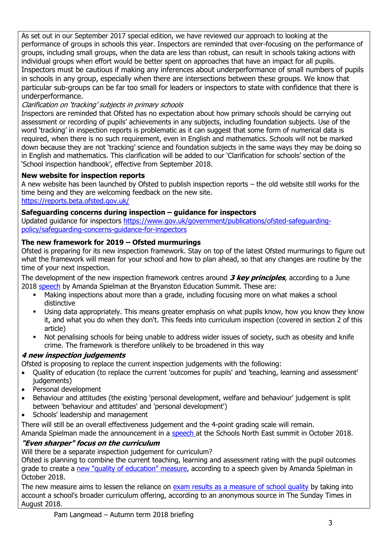As set out in our September 2017 special edition, we have reviewed our approach to looking at the performance of groups in schools this year. Inspectors are reminded that over-focusing on the performance of groups, including small groups, when the data are less than robust, can result in schools taking actions with individual groups when effort would be better spent on approaches that have an impact for all pupils. Inspectors must be cautious if making any inferences about underperformance of small numbers of pupils in schools in any group, especially when there are intersections between these groups. We know that particular sub-groups can be far too small for leaders or inspectors to state with confidence that there is underperformance.

### Clarification on 'tracking' subjects in primary schools

Inspectors are reminded that Ofsted has no expectation about how primary schools should be carrying out assessment or recording of pupils' achievements in any subjects, including foundation subjects. Use of the word 'tracking' in inspection reports is problematic as it can suggest that some form of numerical data is required, when there is no such requirement, even in English and mathematics. Schools will not be marked down because they are not 'tracking' science and foundation subjects in the same ways they may be doing so in English and mathematics. This clarification will be added to our 'Clarification for schools' section of the 'School inspection handbook', effective from September 2018.

### **New website for inspection reports**

A new website has been launched by Ofsted to publish inspection reports – the old website still works for the time being and they are welcoming feedback on the new site. <https://reports.beta.ofsted.gov.uk/>

### **Safeguarding concerns during inspection – guidance for inspectors**

Updated guidance for inspectors [https://www.gov.uk/government/publications/ofsted-safeguarding](https://www.gov.uk/government/publications/ofsted-safeguarding-policy/safeguarding-concerns-guidance-for-inspectors)[policy/safeguarding-concerns-guidance-for-inspectors](https://www.gov.uk/government/publications/ofsted-safeguarding-policy/safeguarding-concerns-guidance-for-inspectors)

### **The new framework for 2019 – Ofsted murmurings**

Ofsted is preparing for its new inspection framework. Stay on top of the latest Ofsted murmurings to figure out what the framework will mean for your school and how to plan ahead, so that any changes are routine by the time of your next inspection.

The development of the new inspection framework centres around **3 key principles**, according to a June 2018 [speech](https://www.gov.uk/government/speeches/amanda-spielman-at-the-bryanston-education-summit) by Amanda Spielman at the Bryanston Education Summit. These are:

- Making inspections about more than a grade, including focusing more on what makes a school distinctive
- Using data appropriately. This means greater emphasis on what pupils know, how you know they know it, and what you do when they don't. This feeds into curriculum inspection (covered in section 2 of this article)
- Not penalising schools for being unable to address wider issues of society, such as obesity and knife crime. The framework is therefore unlikely to be broadened in this way

### **4 new inspection judgements**

Ofsted is proposing to replace the current inspection judgements with the following:

- Quality of education (to replace the current 'outcomes for pupils' and 'teaching, learning and assessment' judgements)
- Personal development
- Behaviour and attitudes (the existing 'personal development, welfare and behaviour' judgement is split between 'behaviour and attitudes' and 'personal development')
- Schools' leadership and management

There will still be an overall effectiveness judgement and the 4-point grading scale will remain.

Amanda Spielman made the announcement in a [speech a](https://www.gov.uk/government/speeches/amanda-spielman-speech-to-the-schools-northeast-summit)t the Schools North East summit in October 2018. **"Even sharper" focus on the curriculum**

Will there be a separate inspection judgement for curriculum?

Ofsted is planning to combine the current teaching, learning and assessment rating with the pupil outcomes grade to create a [new "quality of education" measure,](https://www.gov.uk/government/speeches/amanda-spielman-speech-to-the-schools-northeast-summit) according to a speech given by Amanda Spielman in October 2018.

The new measure aims to lessen the reliance on [exam results as a measure of school quality](https://www.thetimes.co.uk/edition/news/schools-inspector-threatens-d-minus-for-exam-factories-rvp3jrnbd) by taking into account a school's broader curriculum offering, according to an anonymous source in The Sunday Times in August 2018.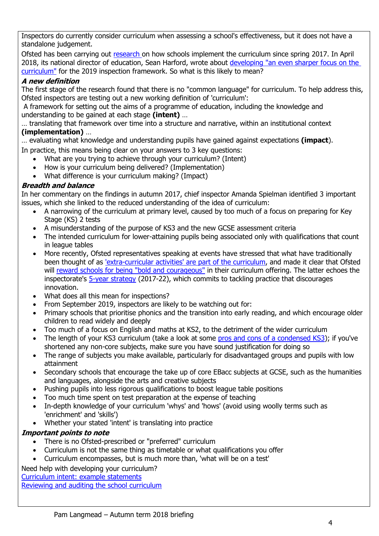Inspectors do currently consider curriculum when assessing a school's effectiveness, but it does not have a standalone judgement.

Ofsted has been carrying out [research o](https://www.gov.uk/government/speeches/hmcis-commentary-october-2017)n how schools implement the curriculum since spring 2017. In April 2018, its national director of education, Sean Harford, wrote about [developing "an even sharper focus on the](https://educationinspection.blog.gov.uk/2018/04/24/ofsteds-spring-conferences/)  [curriculum"](https://educationinspection.blog.gov.uk/2018/04/24/ofsteds-spring-conferences/) for the 2019 inspection framework. So what is this likely to mean?

### **A new definition**

The first stage of the research found that there is no "common language" for curriculum. To help address this, Ofsted inspectors are testing out a new working definition of 'curriculum':

A framework for setting out the aims of a programme of education, including the knowledge and understanding to be gained at each stage **(intent)** …

… translating that framework over time into a structure and narrative, within an institutional context **(implementation)** …

… evaluating what knowledge and understanding pupils have gained against expectations **(impact**).

In practice, this means being clear on your answers to 3 key questions:

- What are you trying to achieve through your curriculum? (Intent)
- How is your curriculum being delivered? (Implementation)
- What difference is your curriculum making? (Impact)

### **Breadth and balance**

In her commentary on the findings in autumn 2017, chief inspector Amanda Spielman identified 3 important issues, which she linked to the reduced understanding of the idea of curriculum:

- A narrowing of the curriculum at primary level, caused by too much of a focus on preparing for Key Stage (KS) 2 tests
- A misunderstanding of the purpose of KS3 and the new GCSE assessment criteria
- The intended curriculum for lower-attaining pupils being associated only with qualifications that count in league tables
- More recently, Ofsted representatives speaking at events have stressed that what have traditionally been thought of as ['extra-curricular activities' are part of the curriculum,](https://www.ssatuk.co.uk/blog/ofsted-curriculum-2019/) and made it clear that Ofsted will reward schools [for being "bold and courageous"](http://www.sec-ed.co.uk/news/be-bold-and-courageous-with-your-curriculum-ofsted-urges/) in their curriculum offering. The latter echoes the inspectorate's [5-year strategy](https://www.gov.uk/government/publications/ofsted-strategy-2017-to-2022) (2017-22), which commits to tackling practice that discourages innovation.
- What does all this mean for inspections?
- From September 2019, inspectors are likely to be watching out for:
- Primary schools that prioritise phonics and the transition into early reading, and which encourage older children to read widely and deeply
- Too much of a focus on English and maths at KS2, to the detriment of the wider curriculum
- The length of your KS3 curriculum (take a look at some [pros and cons of a condensed KS3\)](https://schoolleaders.thekeysupport.com/curriculum-and-learning/secondary-and-further/condensed-key-stage-3-curriculum/?marker=content-body); if you've shortened any non-core subjects, make sure you have sound justification for doing so
- The range of subjects you make available, particularly for disadvantaged groups and pupils with low attainment
- Secondary schools that encourage the take up of core EBacc subjects at GCSE, such as the humanities and languages, alongside the arts and creative subjects
- Pushing pupils into less rigorous qualifications to boost league table positions
- Too much time spent on test preparation at the expense of teaching
- In-depth knowledge of your curriculum 'whys' and 'hows' (avoid using woolly terms such as 'enrichment' and 'skills')
- Whether your stated 'intent' is translating into practice

### **Important points to note**

- There is no Ofsted-prescribed or "preferred" curriculum
- Curriculum is not the same thing as timetable or what qualifications you offer
- Curriculum encompasses, but is much more than, 'what will be on a test'

Need help with developing your curriculum?

[Curriculum intent: example statements](https://schoolleaders.thekeysupport.com/curriculum-and-learning/curriculum-guidance-all-phases/structuring-curriculum/curriculum-intent-examples/?marker=content-body) [Reviewing and auditing the school curriculum](https://schoolleaders.thekeysupport.com/curriculum-and-learning/curriculum-guidance-all-phases/subject-monitoring/reviewing-and-auditing-the-school-curriculum/?marker=content-body)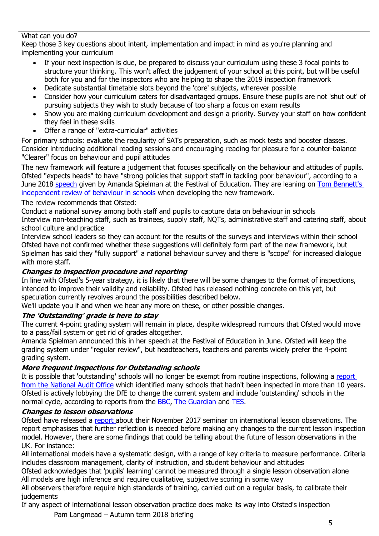### What can you do?

Keep those 3 key questions about intent, implementation and impact in mind as you're planning and implementing your curriculum

- If your next inspection is due, be prepared to discuss your curriculum using these 3 focal points to structure your thinking. This won't affect the judgement of your school at this point, but will be useful both for you and for the inspectors who are helping to shape the 2019 inspection framework
- Dedicate substantial timetable slots beyond the 'core' subjects, wherever possible
- Consider how your curriculum caters for disadvantaged groups. Ensure these pupils are not 'shut out' of pursuing subjects they wish to study because of too sharp a focus on exam results
- Show you are making curriculum development and design a priority. Survey your staff on how confident they feel in these skills
- Offer a range of "extra-curricular" activities

For primary schools: evaluate the regularity of SATs preparation, such as mock tests and booster classes. Consider introducing additional reading sessions and encouraging reading for pleasure for a counter-balance "Clearer" focus on behaviour and pupil attitudes

The new framework will feature a judgement that focuses specifically on the behaviour and attitudes of pupils. Ofsted "expects heads" to have "strong policies that support staff in tackling poor behaviour", according to a June 2018 [speech](https://www.gov.uk/government/speeches/amanda-spielmans-speech-at-the-wellington-festival-of-education) given by Amanda Spielman at the Festival of Education. They are leaning on Tom Bennett's [independent review of behaviour in schools](https://www.gov.uk/government/publications/behaviour-in-schools) when developing the new framework.

The review recommends that Ofsted:

Conduct a national survey among both staff and pupils to capture data on behaviour in schools

Interview non-teaching staff, such as trainees, supply staff, NQTs, administrative staff and catering staff, about school culture and practice

Interview school leaders so they can account for the results of the surveys and interviews within their school Ofsted have not confirmed whether these suggestions will definitely form part of the new framework, but Spielman has said they "fully support" a national behaviour survey and there is "scope" for increased dialogue with more staff.

### **Changes to inspection procedure and reporting**

In line with Ofsted's 5-year strategy, it is likely that there will be some changes to the format of inspections, intended to improve their validity and reliability. Ofsted has released nothing concrete on this yet, but speculation currently revolves around the possibilities described below.

We'll update you if and when we hear any more on these, or other possible changes.

### **The 'Outstanding' grade is here to stay**

The current 4-point grading system will remain in place, despite widespread rumours that Ofsted would move to a pass/fail system or get rid of grades altogether.

Amanda Spielman announced this in her speech at the Festival of Education in June. Ofsted will keep the grading system under "regular review", but headteachers, teachers and parents widely prefer the 4-point grading system.

### **More frequent inspections for Outstanding schools**

It is possible that 'outstanding' schools will no longer be exempt from routine inspections, following a [report](https://www.nao.org.uk/report/ofsteds-inspection-of-schools/)  [from the National Audit Office](https://www.nao.org.uk/report/ofsteds-inspection-of-schools/) which identified many schools that hadn't been inspected in more than 10 years. Ofsted is actively lobbying the DfE to change the current system and include 'outstanding' schools in the normal cycle, according to reports from the [BBC,](http://www.bbc.co.uk/news/education-44227869?ns_campaign=bbcnews&ns_mchannel=social&ocid=socialflow_twitter&ns_source=twitter) [The Guardian](https://www.theguardian.com/education/2018/may/24/ofsted-not-inspected-hundreds-schools-decade-report) and [TES.](https://www.tes.com/news/ofsted-let-us-routinely-inspect-outstanding-schools)

### **Changes to lesson observations**

Ofsted have released a [report a](https://assets.publishing.service.gov.uk/government/uploads/system/uploads/attachment_data/file/708815/Six_models_of_lesson_observation.pdf)bout their November 2017 seminar on international lesson observations. The report emphasises that further reflection is needed before making any changes to the current lesson inspection model. However, there are some findings that could be telling about the future of lesson observations in the UK. For instance:

All international models have a systematic design, with a range of key criteria to measure performance. Criteria includes classroom management, clarity of instruction, and student behaviour and attitudes

Ofsted acknowledges that 'pupils' learning' cannot be measured through a single lesson observation alone All models are high inference and require qualitative, subjective scoring in some way

All observers therefore require high standards of training, carried out on a regular basis, to calibrate their judgements

If any aspect of international lesson observation practice does make its way into Ofsted's inspection

Pam Langmead – Autumn term 2018 briefing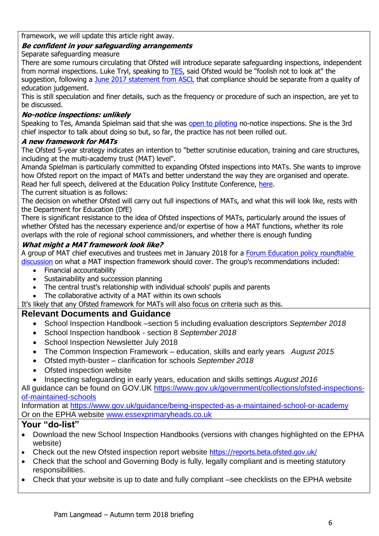framework, we will update this article right away.

### **Be confident in your safeguarding arrangements**

Separate safeguarding measure

There are some rumours circulating that Ofsted will introduce separate safeguarding inspections, independent from normal inspections. Luke Tryl, speaking to [TES,](https://www.tes.com/news/ofsted-rethink-lesson-observations-and-eight-other-plans-revealed-today) said Ofsted would be "foolish not to look at" the suggestion, following a [June 2017 statement from ASCL](https://www.ascl.org.uk/policy/position-statements/accountability-data-and-ofsted.html) that compliance should be separate from a quality of education judgement.

This is still speculation and finer details, such as the frequency or procedure of such an inspection, are yet to be discussed.

### **No-notice inspections: unlikely**

Speaking to Tes, Amanda Spielman said that she was [open to piloting](https://www.tes.com/news/exclusive-ofsted-looking-no-notice-school-inspections-again) no-notice inspections. She is the 3rd chief inspector to talk about doing so but, so far, the practice has not been rolled out.

### **A new framework for MATs**

The Ofsted 5-year strategy indicates an intention to "better scrutinise education, training and care structures, including at the multi-academy trust (MAT) level".

Amanda Spielman is particularly committed to expanding Ofsted inspections into MATs. She wants to improve how Ofsted report on the impact of MATs and better understand the way they are organised and operate. Read her full speech, delivered at the Education Policy Institute Conference, [here.](https://www.gov.uk/government/speeches/amanda-spielman-at-the-education-policy-institute-conference) The current situation is as follows:

The decision on whether Ofsted will carry out full inspections of MATs, and what this will look like, rests with the Department for Education (DfE)

There is significant resistance to the idea of Ofsted inspections of MATs, particularly around the issues of whether Ofsted has the necessary experience and/or expertise of how a MAT functions, whether its role overlaps with the role of regional school commissioners, and whether there is enough funding

### **What might a MAT framework look like?**

A group of MAT chief executives and trustees met in January 2018 for a [Forum Education policy roundtable](http://www.forumeducation.org/policy-roundtable-paper-2-the-role-of-ofsted-in-the-inspection-of-multi-academy-trusts/)  [discussion](http://www.forumeducation.org/policy-roundtable-paper-2-the-role-of-ofsted-in-the-inspection-of-multi-academy-trusts/) on what a MAT inspection framework should cover. The group's recommendations included:

- Financial accountability
- Sustainability and succession planning
- The central trust's relationship with individual schools' pupils and parents
- The collaborative activity of a MAT within its own schools

It's likely that any Ofsted framework for MATs will also focus on criteria such as this.

### **Relevant Documents and Guidance**

- School Inspection Handbook –section 5 including evaluation descriptors *September 2018*
- School Inspection handbook section 8 *September 2018*
- School Inspection Newsletter July 2018
- The Common Inspection Framework education, skills and early years *August 2015*
- Ofsted myth-buster clarification for schools *September 2018*
- Ofsted inspection website
- Inspecting safeguarding in early years, education and skills settings *August 2016*

All guidance can be found on GOV.UK [https://www.gov.uk/government/collections/ofsted-inspections](https://www.gov.uk/government/collections/ofsted-inspections-of-maintained-schools)[of-maintained-schools](https://www.gov.uk/government/collections/ofsted-inspections-of-maintained-schools)

Information at<https://www.gov.uk/guidance/being-inspected-as-a-maintained-school-or-academy> Or on the EPHA website [www.essexprimaryheads.co.uk](http://www.essexprimaryheads.co.uk/)

- Download the new School Inspection Handbooks (versions with changes highlighted on the EPHA website)
- Check out the new Ofsted inspection report website <https://reports.beta.ofsted.gov.uk/>
- Check that the school and Governing Body is fully, legally compliant and is meeting statutory responsibilities.
- Check that your website is up to date and fully compliant –see checklists on the EPHA website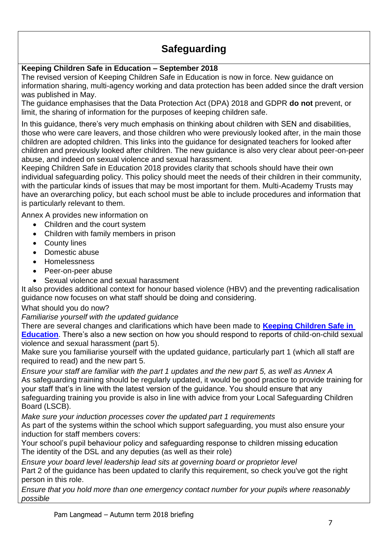# **Safeguarding**

### **Keeping Children Safe in Education – September 2018**

The revised version of Keeping Children Safe in Education is now in force. New guidance on information sharing, multi-agency working and data protection has been added since the draft version was published in May.

The guidance emphasises that the Data Protection Act (DPA) 2018 and GDPR **do not** prevent, or limit, the sharing of information for the purposes of keeping children safe.

In this guidance, there's very much emphasis on thinking about children with SEN and disabilities, those who were care leavers, and those children who were previously looked after, in the main those children are adopted children. This links into the guidance for designated teachers for looked after children and previously looked after children. The new guidance is also very clear about peer-on-peer abuse, and indeed on sexual violence and sexual harassment.

Keeping Children Safe in Education 2018 provides clarity that schools should have their own individual safeguarding policy. This policy should meet the needs of their children in their community, with the particular kinds of issues that may be most important for them. Multi-Academy Trusts may have an overarching policy, but each school must be able to include procedures and information that is particularly relevant to them.

Annex A provides new information on

- Children and the court system
- Children with family members in prison
- County lines
- Domestic abuse
- Homelessness
- Peer-on-peer abuse
- Sexual violence and sexual harassment

It also provides additional context for honour based violence (HBV) and the preventing radicalisation guidance now focuses on what staff should be doing and considering.

### What should you do now?

*Familiarise yourself with the updated guidance*

There are several changes and clarifications which have been made to **[Keeping Children Safe in](https://www.gov.uk/government/publications/keeping-children-safe-in-education--2)  [Education](https://www.gov.uk/government/publications/keeping-children-safe-in-education--2)**. There's also a new section on how you should respond to reports of child-on-child sexual violence and sexual harassment (part 5).

Make sure you familiarise yourself with the updated guidance, particularly part 1 (which all staff are required to read) and the new part 5.

*Ensure your staff are familiar with the part 1 updates and the new part 5, as well as Annex A* As safeguarding training should be regularly updated, it would be good practice to provide training for your staff that's in line with the latest version of the guidance. You should ensure that any safeguarding training you provide is also in line with advice from your Local Safeguarding Children Board (LSCB).

*Make sure your induction processes cover the updated part 1 requirements*

As part of the systems within the school which support safeguarding, you must also ensure your induction for staff members covers:

Your school's pupil behaviour policy and safeguarding response to children missing education The identity of the DSL and any deputies (as well as their role)

*Ensure your board level leadership lead sits at governing board or proprietor level*

Part 2 of the guidance has been updated to clarify this requirement, so check you've got the right person in this role.

*Ensure that you hold more than one emergency contact number for your pupils where reasonably possible*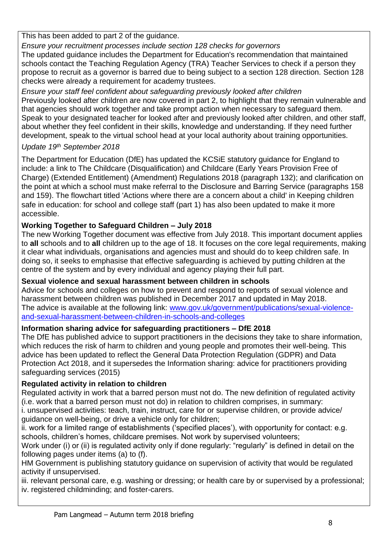This has been added to part 2 of the guidance.

*Ensure your recruitment processes include section 128 checks for governors*

The updated guidance includes the Department for Education's recommendation that maintained schools contact the Teaching Regulation Agency (TRA) Teacher Services to check if a person they propose to recruit as a governor is barred due to being subject to a section 128 direction. Section 128 checks were already a requirement for academy trustees.

*Ensure your staff feel confident about safeguarding previously looked after children*  Previously looked after children are now covered in part 2, to highlight that they remain vulnerable and that agencies should work together and take prompt action when necessary to safeguard them. Speak to your designated teacher for looked after and previously looked after children, and other staff, about whether they feel confident in their skills, knowledge and understanding. If they need further development, speak to the virtual school head at your local authority about training opportunities.

### *Update 19th September 2018*

The Department for Education (DfE) has updated the KCSiE statutory guidance for England to include: a link to The Childcare (Disqualification) and Childcare (Early Years Provision Free of Charge) (Extended Entitlement) (Amendment) Regulations 2018 (paragraph 132); and clarification on the point at which a school must make referral to the Disclosure and Barring Service (paragraphs 158 and 159). The flowchart titled 'Actions where there are a concern about a child' in Keeping children safe in education: for school and college staff (part 1) has also been updated to make it more accessible.

## **Working Together to Safeguard Children – July 2018**

The new Working Together document was effective from July 2018. This important document applies to **all** schools and to **all** children up to the age of 18. It focuses on the core legal requirements, making it clear what individuals, organisations and agencies must and should do to keep children safe. In doing so, it seeks to emphasise that effective safeguarding is achieved by putting children at the centre of the system and by every individual and agency playing their full part.

### **Sexual violence and sexual harassment between children in schools**

Advice for schools and colleges on how to prevent and respond to reports of sexual violence and harassment between children was published in December 2017 and updated in May 2018. The advice is available at the following link: [www.gov.uk/government/publications/sexual-violence](http://www.gov.uk/government/publications/sexual-violence-and-sexual-harassment-between-children-in-schools-and-colleges)[and-sexual-harassment-between-children-in-schools-and-colleges](http://www.gov.uk/government/publications/sexual-violence-and-sexual-harassment-between-children-in-schools-and-colleges)

## **Information sharing advice for safeguarding practitioners – DfE 2018**

The DfE has published advice to support practitioners in the decisions they take to share information, which reduces the risk of harm to children and young people and promotes their well-being. This advice has been updated to reflect the General Data Protection Regulation (GDPR) and Data Protection Act 2018, and it supersedes the Information sharing: advice for practitioners providing safeguarding services (2015)

## **Regulated activity in relation to children**

Regulated activity in work that a barred person must not do. The new definition of regulated activity (i.e. work that a barred person must not do) in relation to children comprises, in summary:

i. unsupervised activities: teach, train, instruct, care for or supervise children, or provide advice/ guidance on well-being, or drive a vehicle only for children;

ii. work for a limited range of establishments ('specified places'), with opportunity for contact: e.g. schools, children's homes, childcare premises. Not work by supervised volunteers;

Work under (i) or (ii) is regulated activity only if done regularly: "regularly" is defined in detail on the following pages under items (a) to (f).

HM Government is publishing statutory guidance on supervision of activity that would be regulated activity if unsupervised.

iii. relevant personal care, e.g. washing or dressing; or health care by or supervised by a professional; iv. registered childminding; and foster-carers.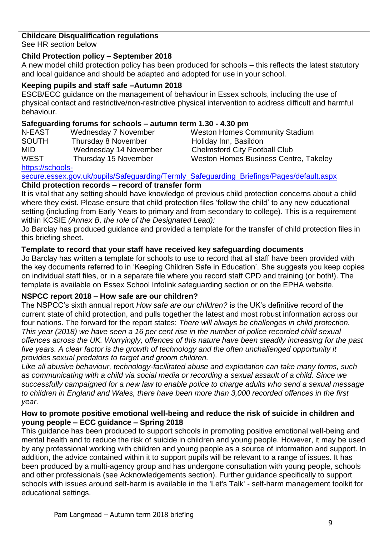### **Childcare Disqualification regulations**

See HR section below

### **Child Protection policy – September 2018**

A new model child protection policy has been produced for schools – this reflects the latest statutory and local guidance and should be adapted and adopted for use in your school.

### **Keeping pupils and staff safe –Autumn 2018**

ESCB/ECC guidance on the management of behaviour in Essex schools, including the use of physical contact and restrictive/non-restrictive physical intervention to address difficult and harmful behaviour.

### **Safeguarding forums for schools – autumn term 1.30 - 4.30 pm**

N-EAST Wednesday 7 November Weston Homes Community Stadium SOUTH Thursday 8 November Holiday Inn, Basildon MID Wednesday 14 November Chelmsford City Football Club WEST Thursday 15 November Weston Homes Business Centre, Takeley

[https://schools-](https://schools-secure.essex.gov.uk/pupils/Safeguarding/Termly_Safeguarding_Briefings/Pages/default.aspx)

[secure.essex.gov.uk/pupils/Safeguarding/Termly\\_Safeguarding\\_Briefings/Pages/default.aspx](https://schools-secure.essex.gov.uk/pupils/Safeguarding/Termly_Safeguarding_Briefings/Pages/default.aspx) **Child protection records – record of transfer form**

It is vital that any setting should have knowledge of previous child protection concerns about a child where they exist. Please ensure that child protection files 'follow the child' to any new educational setting (including from Early Years to primary and from secondary to college). This is a requirement within KCSIE *(Annex B, the role of the Designated Lead):* 

Jo Barclay has produced guidance and provided a template for the transfer of child protection files in this briefing sheet.

### **Template to record that your staff have received key safeguarding documents**

Jo Barclay has written a template for schools to use to record that all staff have been provided with the key documents referred to in 'Keeping Children Safe in Education'. She suggests you keep copies on individual staff files, or in a separate file where you record staff CPD and training (or both!). The template is available on Essex School Infolink safeguarding section or on the EPHA website.

### **NSPCC report 2018 – How safe are our children?**

The NSPCC's sixth annual report *How safe are our children?* is the UK's definitive record of the current state of child protection, and pulls together the latest and most robust information across our four nations. The forward for the report states: *There will always be challenges in child protection. This year (2018) we have seen a 16 per cent rise in the number of police recorded child sexual offences across the UK. Worryingly, offences of this nature have been steadily increasing for the past five years. A clear factor is the growth of technology and the often unchallenged opportunity it provides sexual predators to target and groom children.*

*Like all abusive behaviour, technology-facilitated abuse and exploitation can take many forms, such as communicating with a child via social media or recording a sexual assault of a child. Since we successfully campaigned for a new law to enable police to charge adults who send a sexual message to children in England and Wales, there have been more than 3,000 recorded offences in the first year.*

### **How to promote positive emotional well-being and reduce the risk of suicide in children and young people – ECC guidance – Spring 2018**

This guidance has been produced to support schools in promoting positive emotional well-being and mental health and to reduce the risk of suicide in children and young people. However, it may be used by any professional working with children and young people as a source of information and support. In addition, the advice contained within it to support pupils will be relevant to a range of issues. It has been produced by a multi-agency group and has undergone consultation with young people, schools and other professionals (see Acknowledgements section). Further guidance specifically to support schools with issues around self-harm is available in the 'Let's Talk' - self-harm management toolkit for educational settings.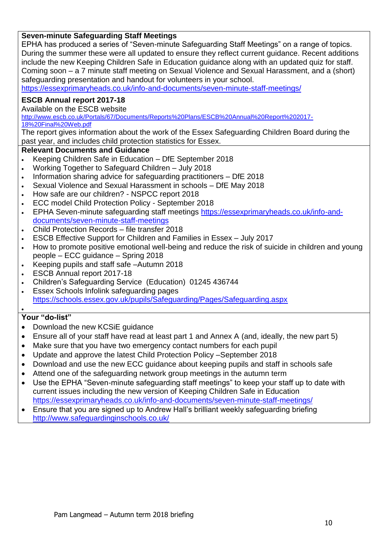### **Seven-minute Safeguarding Staff Meetings**

EPHA has produced a series of "Seven-minute Safeguarding Staff Meetings" on a range of topics. During the summer these were all updated to ensure they reflect current guidance. Recent additions include the new Keeping Children Safe in Education guidance along with an updated quiz for staff. Coming soon – a 7 minute staff meeting on Sexual Violence and Sexual Harassment, and a (short) safeguarding presentation and handout for volunteers in your school.

<https://essexprimaryheads.co.uk/info-and-documents/seven-minute-staff-meetings/>

### **ESCB Annual report 2017-18**

Available on the ESCB website

[http://www.escb.co.uk/Portals/67/Documents/Reports%20Plans/ESCB%20Annual%20Report%202017-](http://www.escb.co.uk/Portals/67/Documents/Reports%20Plans/ESCB%20Annual%20Report%202017-18%20Final%20Web.pdf) [18%20Final%20Web.pdf](http://www.escb.co.uk/Portals/67/Documents/Reports%20Plans/ESCB%20Annual%20Report%202017-18%20Final%20Web.pdf)

The report gives information about the work of the Essex Safeguarding Children Board during the past year, and includes child protection statistics for Essex.

#### **Relevant Documents and Guidance**

- Keeping Children Safe in Education DfE September 2018
- Working Together to Safeguard Children July 2018
- . Information sharing advice for safeguarding practitioners DfE 2018
- Sexual Violence and Sexual Harassment in schools DfE May 2018
- How safe are our children? NSPCC report 2018
- ECC model Child Protection Policy September 2018
- EPHA Seven-minute safeguarding staff meetings [https://essexprimaryheads.co.uk/info-and](https://essexprimaryheads.co.uk/info-and-documents/seven-minute-staff-meetings)[documents/seven-minute-staff-meetings](https://essexprimaryheads.co.uk/info-and-documents/seven-minute-staff-meetings)
- Child Protection Records file transfer 2018
- ESCB Effective Support for Children and Families in Essex July 2017
- How to promote positive emotional well-being and reduce the risk of suicide in children and young people – ECC guidance – Spring 2018
- Keeping pupils and staff safe –Autumn 2018
- ESCB Annual report 2017-18
- Children's Safeguarding Service (Education) 01245 436744
- Essex Schools Infolink safeguarding pages <https://schools.essex.gov.uk/pupils/Safeguarding/Pages/Safeguarding.aspx>

#### $\bullet$ **Your "do-list"**

- Download the new KCSiE quidance
- Ensure all of your staff have read at least part 1 and Annex A (and, ideally, the new part 5)
- Make sure that you have two emergency contact numbers for each pupil
- Update and approve the latest Child Protection Policy –September 2018
- Download and use the new ECC guidance about keeping pupils and staff in schools safe
- Attend one of the safeguarding network group meetings in the autumn term
- Use the EPHA "Seven-minute safeguarding staff meetings" to keep your staff up to date with current issues including the new version of Keeping Children Safe in Education <https://essexprimaryheads.co.uk/info-and-documents/seven-minute-staff-meetings/>
- Ensure that you are signed up to Andrew Hall's brilliant weekly safeguarding briefing <http://www.safeguardinginschools.co.uk/>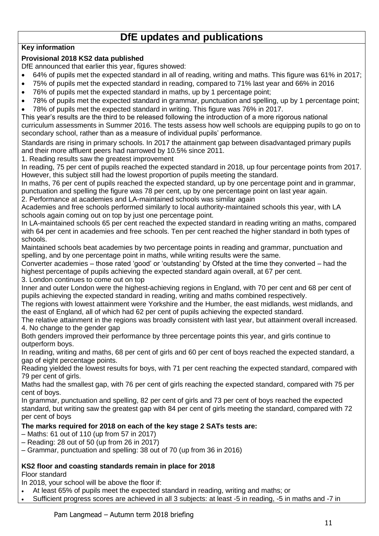# **DfE updates and publications**

### **Key information**

### **Provisional 2018 KS2 data published**

DfE announced that earlier this year, figures showed:

- 64% of pupils met the expected standard in all of reading, writing and maths. This figure was 61% in 2017;
- 75% of pupils met the expected standard in reading, compared to 71% last year and 66% in 2016
- 76% of pupils met the expected standard in maths, up by 1 percentage point;
- 78% of pupils met the expected standard in grammar, punctuation and spelling, up by 1 percentage point;
- 78% of pupils met the expected standard in writing. This figure was 76% in 2017.

This year's results are the third to be released following the introduction of a more rigorous national curriculum assessments in Summer 2016. The tests assess how well schools are equipping pupils to go on to secondary school, rather than as a measure of individual pupils' performance.

Standards are rising in primary schools. In 2017 the attainment gap between disadvantaged primary pupils and their more affluent peers had narrowed by 10.5% since 2011.

1. Reading results saw the greatest improvement

In reading, 75 per cent of pupils reached the expected standard in 2018, up four percentage points from 2017. However, this subject still had the lowest proportion of pupils meeting the standard.

In maths, 76 per cent of pupils reached the expected standard, up by one percentage point and in grammar, punctuation and spelling the figure was 78 per cent, up by one percentage point on last year again.

2. Performance at academies and LA-maintained schools was similar again

Academies and free schools performed similarly to local authority-maintained schools this year, with LA schools again coming out on top by just one percentage point.

In LA-maintained schools 65 per cent reached the expected standard in reading writing an maths, compared with 64 per cent in academies and free schools. Ten per cent reached the higher standard in both types of schools.

Maintained schools beat academies by two percentage points in reading and grammar, punctuation and spelling, and by one percentage point in maths, while writing results were the same.

Converter academies – those rated 'good' or 'outstanding' by Ofsted at the time they converted – had the highest percentage of pupils achieving the expected standard again overall, at 67 per cent. 3. London continues to come out on top

Inner and outer London were the highest-achieving regions in England, with 70 per cent and 68 per cent of pupils achieving the expected standard in reading, writing and maths combined respectively.

The regions with lowest attainment were Yorkshire and the Humber, the east midlands, west midlands, and the east of England, all of which had 62 per cent of pupils achieving the expected standard.

The relative attainment in the regions was broadly consistent with last year, but attainment overall increased. 4. No change to the gender gap

Both genders improved their performance by three percentage points this year, and girls continue to outperform boys.

In reading, writing and maths, 68 per cent of girls and 60 per cent of boys reached the expected standard, a gap of eight percentage points.

Reading yielded the lowest results for boys, with 71 per cent reaching the expected standard, compared with 79 per cent of girls.

Maths had the smallest gap, with 76 per cent of girls reaching the expected standard, compared with 75 per cent of boys.

In grammar, punctuation and spelling, 82 per cent of girls and 73 per cent of boys reached the expected standard, but writing saw the greatest gap with 84 per cent of girls meeting the standard, compared with 72 per cent of boys

### **The marks required for 2018 on each of the key stage 2 SATs tests are:**

- Maths: 61 out of 110 (up from 57 in 2017)
- Reading: 28 out of 50 (up from 26 in 2017)
- Grammar, punctuation and spelling: 38 out of 70 (up from 36 in 2016)

### **KS2 floor and coasting standards remain in place for 2018**

Floor standard

In 2018, your school will be above the floor if:

At least 65% of pupils meet the expected standard in reading, writing and maths; or

Sufficient progress scores are achieved in all 3 subjects: at least -5 in reading, -5 in maths and -7 in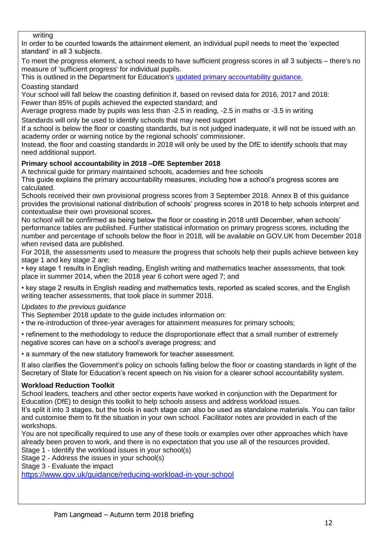#### writing

In order to be counted towards the attainment element, an individual pupil needs to meet the 'expected standard' in all 3 subjects.

To meet the progress element, a school needs to have sufficient progress scores in all 3 subjects – there's no measure of 'sufficient progress' for individual pupils.

This is outlined in the Department for Education's [updated primary accountability guidance.](https://www.gov.uk/government/publications/primary-school-accountability) Coasting standard

Your school will fall below the coasting definition if, based on revised data for 2016, 2017 and 2018: Fewer than 85% of pupils achieved the expected standard; and

Average progress made by pupils was less than -2.5 in reading, -2.5 in maths or -3.5 in writing

Standards will only be used to identify schools that may need support

If a school is below the floor or coasting standards, but is not judged inadequate, it will not be issued with an academy order or warning notice by the regional schools' commissioner.

Instead, the floor and coasting standards in 2018 will only be used by the DfE to identify schools that may need additional support.

### **Primary school accountability in 2018 –DfE September 2018**

A technical guide for primary maintained schools, academies and free schools

This guide explains the primary accountability measures, including how a school's progress scores are calculated.

Schools received their own provisional progress scores from 3 September 2018. Annex B of this guidance provides the provisional national distribution of schools' progress scores in 2018 to help schools interpret and contextualise their own provisional scores.

No school will be confirmed as being below the floor or coasting in 2018 until December, when schools' performance tables are published. Further statistical information on primary progress scores, including the number and percentage of schools below the floor in 2018, will be available on GOV.UK from December 2018 when revised data are published.

For 2018, the assessments used to measure the progress that schools help their pupils achieve between key stage 1 and key stage 2 are:

• key stage 1 results in English reading, English writing and mathematics teacher assessments, that took place in summer 2014, when the 2018 year 6 cohort were aged 7; and

• key stage 2 results in English reading and mathematics tests, reported as scaled scores, and the English writing teacher assessments, that took place in summer 2018.

#### *Updates to the previous guidance*

This September 2018 update to the guide includes information on:

• the re-introduction of three-year averages for attainment measures for primary schools;

• refinement to the methodology to reduce the disproportionate effect that a small number of extremely negative scores can have on a school's average progress; and

• a summary of the new statutory framework for teacher assessment.

It also clarifies the Government's policy on schools falling below the floor or coasting standards in light of the Secretary of State for Education's recent speech on his vision for a clearer school accountability system.

#### **Workload Reduction Toolkit**

School leaders, teachers and other sector experts have worked in conjunction with the Department for Education (DfE) to design this toolkit to help schools assess and address workload issues.

It's split it into 3 stages, but the tools in each stage can also be used as standalone materials. You can tailor and customise them to fit the situation in your own school. Facilitator notes are provided in each of the workshops.

You are not specifically required to use any of these tools or examples over other approaches which have already been proven to work, and there is no expectation that you use all of the resources provided.

Stage 1 - Identify the workload issues in your school(s)

Stage 2 - Address the issues in your school(s)

Stage 3 - Evaluate the impact

<https://www.gov.uk/guidance/reducing-workload-in-your-school>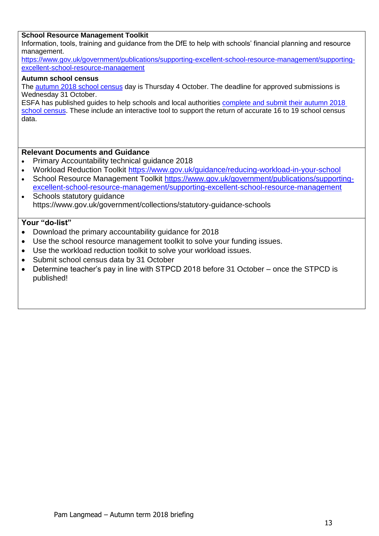#### **School Resource Management Toolkit**

Information, tools, training and guidance from the DfE to help with schools' financial planning and resource management.

[https://www.gov.uk/government/publications/supporting-excellent-school-resource-management/supporting](https://www.gov.uk/government/publications/supporting-excellent-school-resource-management/supporting-excellent-school-resource-management)[excellent-school-resource-management](https://www.gov.uk/government/publications/supporting-excellent-school-resource-management/supporting-excellent-school-resource-management)

#### **Autumn school census**

The **autumn 2018 school census** day is Thursday 4 October. The deadline for approved submissions is Wednesday 31 October.

ESFA has published guides to help schools and local authorities [complete and submit their autumn 2018](https://www.gov.uk/guidance/school-census)  [school census.](https://www.gov.uk/guidance/school-census) These include an interactive tool to support the return of accurate 16 to 19 school census data.

#### **Relevant Documents and Guidance**

- Primary Accountability technical guidance 2018
- Workload Reduction Toolkit<https://www.gov.uk/guidance/reducing-workload-in-your-school>
- School Resource Management Toolkit [https://www.gov.uk/government/publications/supporting](https://www.gov.uk/government/publications/supporting-excellent-school-resource-management/supporting-excellent-school-resource-management)[excellent-school-resource-management/supporting-excellent-school-resource-management](https://www.gov.uk/government/publications/supporting-excellent-school-resource-management/supporting-excellent-school-resource-management)
- Schools statutory quidance https://www.gov.uk/government/collections/statutory-guidance-schools

- Download the primary accountability guidance for 2018
- Use the school resource management toolkit to solve your funding issues.
- Use the workload reduction toolkit to solve your workload issues.
- Submit school census data by 31 October
- Determine teacher's pay in line with STPCD 2018 before 31 October once the STPCD is published!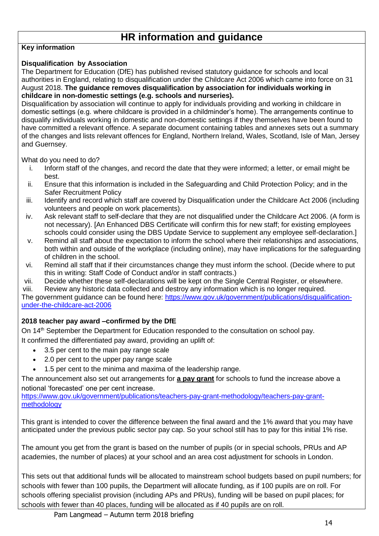# **HR information and guidance**

#### **Key information**

### **Disqualification by Association**

The Department for Education (DfE) has published revised statutory guidance for schools and local authorities in England, relating to disqualification under the Childcare Act 2006 which came into force on 31 August 2018. **The guidance removes disqualification by association for individuals working in childcare in non-domestic settings (e.g. schools and nurseries).**

Disqualification by association will continue to apply for individuals providing and working in childcare in domestic settings (e.g. where childcare is provided in a childminder's home). The arrangements continue to disqualify individuals working in domestic and non-domestic settings if they themselves have been found to have committed a relevant offence. A separate document containing tables and annexes sets out a summary of the changes and lists relevant offences for England, Northern Ireland, Wales, Scotland, Isle of Man, Jersey and Guernsey.

What do you need to do?

- i. Inform staff of the changes, and record the date that they were informed; a letter, or email might be best.
- ii. Ensure that this information is included in the Safeguarding and Child Protection Policy; and in the Safer Recruitment Policy
- iii. Identify and record which staff are covered by Disqualification under the Childcare Act 2006 (including volunteers and people on work placements).
- iv. Ask relevant staff to self-declare that they are not disqualified under the Childcare Act 2006. (A form is not necessary). [An Enhanced DBS Certificate will confirm this for new staff; for existing employees schools could consider using the DBS Update Service to supplement any employee self-declaration.]
- v. Remind all staff about the expectation to inform the school where their relationships and associations, both within and outside of the workplace (including online), may have implications for the safeguarding of children in the school.
- vi. Remind all staff that if their circumstances change they must inform the school. (Decide where to put this in writing: Staff Code of Conduct and/or in staff contracts.)
- vii. Decide whether these self-declarations will be kept on the Single Central Register, or elsewhere.

viii. Review any historic data collected and destroy any information which is no longer required.

The government guidance can be found here: [https://www.gov.uk/government/publications/disqualification](https://safeguardinginschools.us12.list-manage.com/track/click?u=efe032677d94ceba51dd39a7f&id=5025cc3d3a&e=6534e1f39c)[under-the-childcare-act-2006](https://safeguardinginschools.us12.list-manage.com/track/click?u=efe032677d94ceba51dd39a7f&id=5025cc3d3a&e=6534e1f39c)

### **2018 teacher pay award –confirmed by the DfE**

On 14<sup>th</sup> September the Department for Education responded to the consultation on school pay. It confirmed the differentiated pay award, providing an uplift of:

- 3.5 per cent to the main pay range scale
- 2.0 per cent to the upper pay range scale
- 1.5 per cent to the minima and maxima of the leadership range.

The announcement also set out arrangements for **[a pay grant](https://r1.dmtrk.net/3OT7-GFAH-1GETTT-B20C4-1/c.aspx)** for schools to fund the increase above a notional 'forecasted' one per cent increase.

[https://www.gov.uk/government/publications/teachers-pay-grant-methodology/teachers-pay-grant](https://www.gov.uk/government/publications/teachers-pay-grant-methodology/teachers-pay-grant-methodology)[methodology](https://www.gov.uk/government/publications/teachers-pay-grant-methodology/teachers-pay-grant-methodology)

This grant is intended to cover the difference between the final award and the 1% award that you may have anticipated under the previous public sector pay cap. So your school still has to pay for this initial 1% rise.

The amount you get from the grant is based on the number of pupils (or in special schools, PRUs and AP academies, the number of places) at your school and an area cost adjustment for schools in London.

This sets out that additional funds will be allocated to mainstream school budgets based on pupil numbers; for schools with fewer than 100 pupils, the Department will allocate funding, as if 100 pupils are on roll. For schools offering specialist provision (including APs and PRUs), funding will be based on pupil places; for schools with fewer than 40 places, funding will be allocated as if 40 pupils are on roll.

Pam Langmead – Autumn term 2018 briefing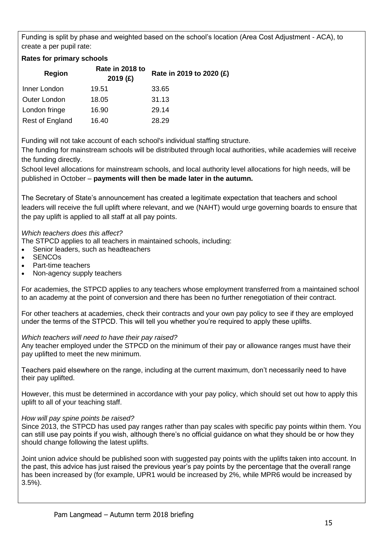Funding is split by phase and weighted based on the school's location (Area Cost Adjustment - ACA), to create a per pupil rate:

### **Rates for primary schools**

| <b>Region</b>   | Rate in 2018 to<br>2019(f) | Rate in 2019 to 2020 (£) |
|-----------------|----------------------------|--------------------------|
| Inner London    | 19.51                      | 33.65                    |
| Outer London    | 18.05                      | 31.13                    |
| London fringe   | 16.90                      | 29.14                    |
| Rest of England | 16.40                      | 28.29                    |

Funding will not take account of each school's individual staffing structure.

The funding for mainstream schools will be distributed through local authorities, while academies will receive the funding directly.

School level allocations for mainstream schools, and local authority level allocations for high needs, will be published in October – **payments will then be made later in the autumn.**

The Secretary of State's announcement has created a legitimate expectation that teachers and school leaders will receive the full uplift where relevant, and we (NAHT) would urge governing boards to ensure that the pay uplift is applied to all staff at all pay points.

#### *Which teachers does this affect?*

The STPCD applies to all teachers in maintained schools, including:

- Senior leaders, such as headteachers
- **SENCO<sub>s</sub>**
- Part-time teachers
- Non-agency supply teachers

For academies, the STPCD applies to any teachers whose employment transferred from a maintained school to an academy at the point of conversion and there has been no further renegotiation of their contract.

For other teachers at academies, check their contracts and your own pay policy to see if they are employed under the terms of the STPCD. This will tell you whether you're required to apply these uplifts.

#### *Which teachers will need to have their pay raised?*

Any teacher employed under the STPCD on the minimum of their pay or allowance ranges must have their pay uplifted to meet the new minimum.

Teachers paid elsewhere on the range, including at the current maximum, don't necessarily need to have their pay uplifted.

However, this must be determined in accordance with your pay policy, which should set out how to apply this uplift to all of your teaching staff.

#### *How will pay spine points be raised?*

Since 2013, the STPCD has used pay ranges rather than pay scales with specific pay points within them. You can still use pay points if you wish, although there's no official guidance on what they should be or how they should change following the latest uplifts.

Joint union advice should be published soon with suggested pay points with the uplifts taken into account. In the past, this advice has just raised the previous year's pay points by the percentage that the overall range has been increased by (for example, UPR1 would be increased by 2%, while MPR6 would be increased by 3.5%).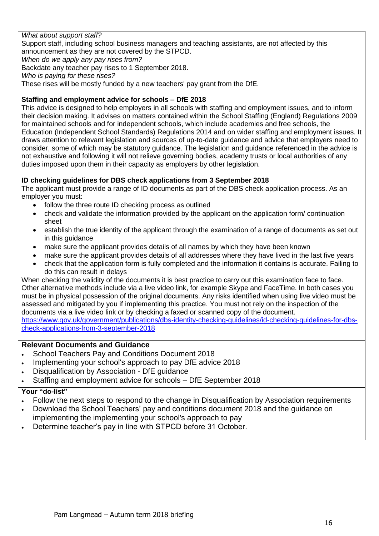#### *What about support staff?*

Support staff, including school business managers and teaching assistants, are not affected by this announcement as they are not covered by the STPCD.

*When do we apply any pay rises from?*

Backdate any teacher pay rises to 1 September 2018.

*Who is paying for these rises?*

These rises will be mostly funded by a new teachers' pay grant from the DfE.

#### **Staffing and employment advice for schools – DfE 2018**

This advice is designed to help employers in all schools with staffing and employment issues, and to inform their decision making. It advises on matters contained within the School Staffing (England) Regulations 2009 for maintained schools and for independent schools, which include academies and free schools, the Education (Independent School Standards) Regulations 2014 and on wider staffing and employment issues. It draws attention to relevant legislation and sources of up-to-date guidance and advice that employers need to consider, some of which may be statutory guidance. The legislation and guidance referenced in the advice is not exhaustive and following it will not relieve governing bodies, academy trusts or local authorities of any duties imposed upon them in their capacity as employers by other legislation.

#### **ID checking guidelines for DBS check applications from 3 September 2018**

The applicant must provide a range of ID documents as part of the DBS check application process. As an employer you must:

- follow the three route ID checking process as outlined
- check and validate the information provided by the applicant on the application form/ continuation sheet
- establish the true identity of the applicant through the examination of a range of documents as set out in this guidance
- make sure the applicant provides details of all names by which they have been known
- make sure the applicant provides details of all addresses where they have lived in the last five years
- check that the application form is fully completed and the information it contains is accurate. Failing to do this can result in delays

When checking the validity of the documents it is best practice to carry out this examination face to face. Other alternative methods include via a live video link, for example Skype and FaceTime. In both cases you must be in physical possession of the original documents. Any risks identified when using live video must be assessed and mitigated by you if implementing this practice. You must not rely on the inspection of the documents via a live video link or by checking a faxed or scanned copy of the document. [https://www.gov.uk/government/publications/dbs-identity-checking-guidelines/id-checking-guidelines-for-dbs-](https://www.gov.uk/government/publications/dbs-identity-checking-guidelines/id-checking-guidelines-for-dbs-check-applications-from-3-september-2018)

[check-applications-from-3-september-2018](https://www.gov.uk/government/publications/dbs-identity-checking-guidelines/id-checking-guidelines-for-dbs-check-applications-from-3-september-2018)

#### **Relevant Documents and Guidance**

- School Teachers Pay and Conditions Document 2018
- Implementing your school's approach to pay DfE advice 2018
- Disqualification by Association DfE guidance
- Staffing and employment advice for schools DfE September 2018

- Follow the next steps to respond to the change in Disqualification by Association requirements
- Download the School Teachers' pay and conditions document 2018 and the quidance on
- implementing the implementing your school's approach to pay
- Determine teacher's pay in line with STPCD before 31 October.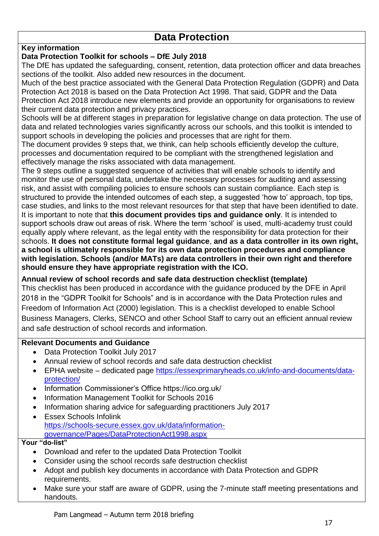# **Data Protection**

### **Key information**

### **Data Protection Toolkit for schools – DfE July 2018**

The DfE has updated the safeguarding, consent, retention, data protection officer and data breaches sections of the toolkit. Also added new resources in the document.

Much of the best practice associated with the General Data Protection Regulation (GDPR) and Data Protection Act 2018 is based on the Data Protection Act 1998. That said, GDPR and the Data Protection Act 2018 introduce new elements and provide an opportunity for organisations to review their current data protection and privacy practices.

Schools will be at different stages in preparation for legislative change on data protection. The use of data and related technologies varies significantly across our schools, and this toolkit is intended to support schools in developing the policies and processes that are right for them.

The document provides 9 steps that, we think, can help schools efficiently develop the culture, processes and documentation required to be compliant with the strengthened legislation and effectively manage the risks associated with data management.

The 9 steps outline a suggested sequence of activities that will enable schools to identify and monitor the use of personal data, undertake the necessary processes for auditing and assessing risk, and assist with compiling policies to ensure schools can sustain compliance. Each step is structured to provide the intended outcomes of each step, a suggested 'how to' approach, top tips, case studies, and links to the most relevant resources for that step that have been identified to date. It is important to note that **this document provides tips and guidance only**. It is intended to support schools draw out areas of risk. Where the term 'school' is used, multi-academy trust could equally apply where relevant, as the legal entity with the responsibility for data protection for their schools. **It does not constitute formal legal guidance**, **and as a data controller in its own right, a school is ultimately responsible for its own data protection procedures and compliance with legislation. Schools (and/or MATs) are data controllers in their own right and therefore should ensure they have appropriate registration with the ICO.** 

### **Annual review of school records and safe data destruction checklist (template)**

This checklist has been produced in accordance with the guidance produced by the DFE in April 2018 in the "GDPR Toolkit for Schools" and is in accordance with the Data Protection rules and Freedom of Information Act (2000) legislation. This is a checklist developed to enable School Business Managers, Clerks, SENCO and other School Staff to carry out an efficient annual review and safe destruction of school records and information.

#### **Relevant Documents and Guidance**

- Data Protection Toolkit July 2017
- Annual review of school records and safe data destruction checklist
- EPHA website dedicated page [https://essexprimaryheads.co.uk/info-and-documents/data](https://essexprimaryheads.co.uk/info-and-documents/data-protection/)[protection/](https://essexprimaryheads.co.uk/info-and-documents/data-protection/)
- Information Commissioner's Office https://ico.org.uk/
- Information Management Toolkit for Schools 2016
- Information sharing advice for safeguarding practitioners July 2017
- Essex Schools Infolink [https://schools-secure.essex.gov.uk/data/information](https://schools-secure.essex.gov.uk/data/information-governance/Pages/DataProtectionAct1998.aspx)[governance/Pages/DataProtectionAct1998.aspx](https://schools-secure.essex.gov.uk/data/information-governance/Pages/DataProtectionAct1998.aspx)

- Download and refer to the updated Data Protection Toolkit
- Consider using the school records safe destruction checklist
- Adopt and publish key documents in accordance with Data Protection and GDPR requirements.
- Make sure your staff are aware of GDPR, using the 7-minute staff meeting presentations and handouts.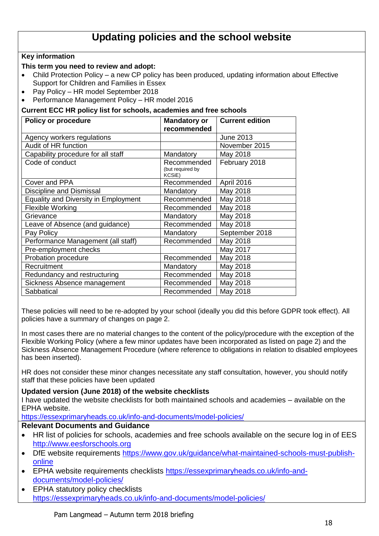# **Updating policies and the school website**

#### **Key information**

#### **This term you need to review and adopt:**

- Child Protection Policy a new CP policy has been produced, updating information about Effective Support for Children and Families in Essex
- Pay Policy HR model September 2018
- Performance Management Policy HR model 2016

#### **Current ECC HR policy list for schools, academies and free schools**

| <b>Policy or procedure</b>                  | <b>Mandatory or</b>                              | <b>Current edition</b> |
|---------------------------------------------|--------------------------------------------------|------------------------|
|                                             | recommended                                      |                        |
| Agency workers regulations                  |                                                  | <b>June 2013</b>       |
| Audit of HR function                        |                                                  | November 2015          |
| Capability procedure for all staff          | Mandatory                                        | May 2018               |
| Code of conduct                             | Recommended<br>(but required by<br><b>KCSiE)</b> | February 2018          |
| Cover and PPA                               | Recommended                                      | April 2016             |
| Discipline and Dismissal                    | Mandatory                                        | May 2018               |
| <b>Equality and Diversity in Employment</b> | Recommended                                      | May 2018               |
| <b>Flexible Working</b>                     | Recommended                                      | May 2018               |
| Grievance                                   | Mandatory                                        | May 2018               |
| Leave of Absence (and guidance)             | Recommended                                      | May 2018               |
| Pay Policy                                  | Mandatory                                        | September 2018         |
| Performance Management (all staff)          | Recommended                                      | May 2018               |
| Pre-employment checks                       |                                                  | May 2017               |
| Probation procedure                         | Recommended                                      | May 2018               |
| Recruitment                                 | Mandatory                                        | May 2018               |
| Redundancy and restructuring                | Recommended                                      | May 2018               |
| Sickness Absence management                 | Recommended                                      | May 2018               |
| Sabbatical                                  | Recommended                                      | May 2018               |

These policies will need to be re-adopted by your school (ideally you did this before GDPR took effect). All policies have a summary of changes on page 2.

In most cases there are no material changes to the content of the policy/procedure with the exception of the Flexible Working Policy (where a few minor updates have been incorporated as listed on page 2) and the Sickness Absence Management Procedure (where reference to obligations in relation to disabled employees has been inserted).

HR does not consider these minor changes necessitate any staff consultation, however, you should notify staff that these policies have been updated

#### **Updated version (June 2018) of the website checklists**

I have updated the website checklists for both maintained schools and academies – available on the EPHA website.

<https://essexprimaryheads.co.uk/info-and-documents/model-policies/>

#### **Relevant Documents and Guidance**

- HR list of policies for schools, academies and free schools available on the secure log in of EES [http://www.eesforschools.org](http://www.eesforschools.org/)
- DfE website requirements [https://www.gov.uk/guidance/what-maintained-schools-must-publish](https://www.gov.uk/guidance/what-maintained-schools-must-publish-online)[online](https://www.gov.uk/guidance/what-maintained-schools-must-publish-online)
- EPHA website requirements checklists [https://essexprimaryheads.co.uk/info-and](https://essexprimaryheads.co.uk/info-and-documents/model-policies/)[documents/model-policies/](https://essexprimaryheads.co.uk/info-and-documents/model-policies/)
- EPHA statutory policy checklists <https://essexprimaryheads.co.uk/info-and-documents/model-policies/>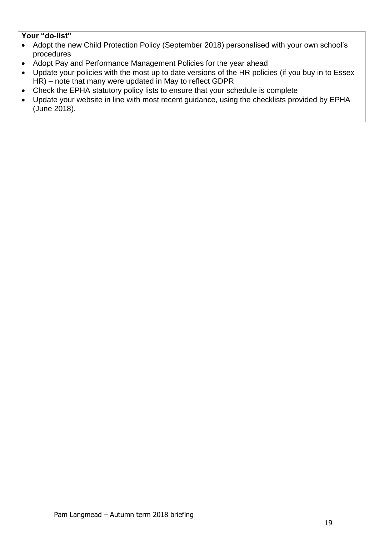- Adopt the new Child Protection Policy (September 2018) personalised with your own school's procedures
- Adopt Pay and Performance Management Policies for the year ahead
- Update your policies with the most up to date versions of the HR policies (if you buy in to Essex HR) – note that many were updated in May to reflect GDPR
- Check the EPHA statutory policy lists to ensure that your schedule is complete
- Update your website in line with most recent guidance, using the checklists provided by EPHA (June 2018).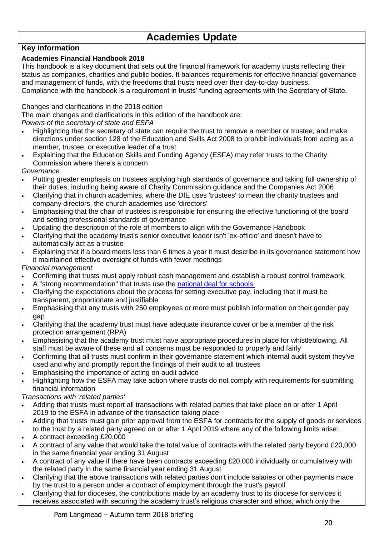# **Academies Update**

### **Key information**

### **Academies Financial Handbook 2018**

This handbook is a key document that sets out the financial framework for academy trusts reflecting their status as companies, charities and public bodies. It balances requirements for effective financial governance and management of funds, with the freedoms that trusts need over their day-to-day business. Compliance with the handbook is a requirement in trusts' funding agreements with the Secretary of State.

Changes and clarifications in the 2018 edition

The main changes and clarifications in this edition of the handbook are:

*Powers of the secretary of state and ESFA*

- Highlighting that the secretary of state can require the trust to remove a member or trustee, and make directions under section 128 of the Education and Skills Act 2008 to prohibit individuals from acting as a member, trustee, or executive leader of a trust
- Explaining that the Education Skills and Funding Agency (ESFA) may refer trusts to the Charity Commission where there's a concern
- *Governance*
- Putting greater emphasis on trustees applying high standards of governance and taking full ownership of their duties, including being aware of Charity Commission guidance and the Companies Act 2006
- Clarifying that in church academies, where the DfE uses 'trustees' to mean the charity trustees and company directors, the church academies use 'directors'
- Emphasising that the chair of trustees is responsible for ensuring the effective functioning of the board and setting professional standards of governance
- Updating the description of the role of members to align with the Governance Handbook
- Clarifying that the academy trust's senior executive leader isn't 'ex-officio' and doesn't have to automatically act as a trustee
- Explaining that if a board meets less than 6 times a year it must describe in its governance statement how it maintained effective oversight of funds with fewer meetings

*Financial management*

- Confirming that trusts must apply robust cash management and establish a robust control framework
- A "strong recommendation" that trusts use the [national deal for schools](https://www.gov.uk/guidance/buying-for-schools/deals-for-schools)
- Clarifying the expectations about the process for setting executive pay, including that it must be transparent, proportionate and justifiable
- Emphasising that any trusts with 250 employees or more must publish information on their gender pay gap
- Clarifying that the academy trust must have adequate insurance cover or be a member of the risk protection arrangement (RPA)
- Emphasising that the academy trust must have appropriate procedures in place for whistleblowing. All staff must be aware of these and all concerns must be responded to properly and fairly
- Confirming that all trusts must confirm in their governance statement which internal audit system they've used and why and promptly report the findings of their audit to all trustees
- Emphasising the importance of acting on audit advice
- Highlighting how the ESFA may take action where trusts do not comply with requirements for submitting financial information

*Transactions with 'related parties'*

- Adding that trusts must report all transactions with related parties that take place on or after 1 April 2019 to the ESFA in advance of the transaction taking place
- Adding that trusts must gain prior approval from the ESFA for contracts for the supply of goods or services to the trust by a related party agreed on or after 1 April 2019 where any of the following limits arise:
- A contract exceeding £20,000
- A contract of any value that would take the total value of contracts with the related party beyond £20,000 in the same financial year ending 31 August
- A contract of any value if there have been contracts exceeding £20,000 individually or cumulatively with the related party in the same financial year ending 31 August
- Clarifying that the above transactions with related parties don't include salaries or other payments made by the trust to a person under a contract of employment through the trust's payroll
- Clarifying that for dioceses, the contributions made by an academy trust to its diocese for services it receives associated with securing the academy trust's religious character and ethos, which only the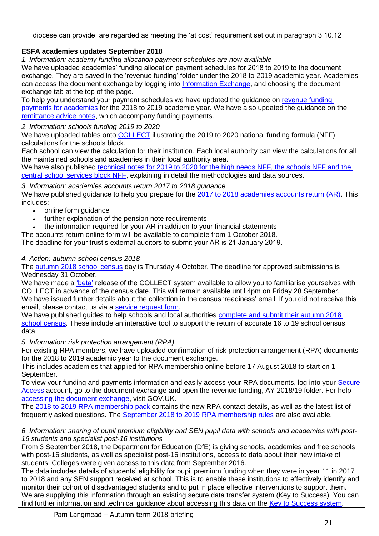diocese can provide, are regarded as meeting the 'at cost' requirement set out in paragraph 3.10.12

### **ESFA academies updates September 2018**

*1. Information: academy funding allocation payment schedules are now available*

We have uploaded academies' funding allocation payment schedules for 2018 to 2019 to the document exchange. They are saved in the 'revenue funding' folder under the 2018 to 2019 academic year. Academies can access the document exchange by logging into [Information Exchange,](https://www.gov.uk/government/publications/efa-information-exchange) and choosing the document exchange tab at the top of the page.

To help you understand your payment schedules we have updated the guidance on [revenue funding](https://www.gov.uk/guidance/funding-payments-for-academies)  [payments for academies](https://www.gov.uk/guidance/funding-payments-for-academies) for the 2018 to 2019 academic year. We have also updated the guidance on the [remittance advice notes,](https://www.gov.uk/government/publications/academies-payments-information-remittance-advice-notes) which accompany funding payments.

*2. Information: schools funding 2019 to 2020*

We have uploaded tables onto **COLLECT** illustrating the 2019 to 2020 national funding formula (NFF) calculations for the schools block.

Each school can view the calculation for their institution. Each local authority can view the calculations for all the maintained schools and academies in their local authority area.

We have also published [technical notes for 2019 to 2020 for the high needs NFF, the schools NFF and the](https://www.gov.uk/government/publications/national-funding-formula-tables-for-schools-and-high-needs-2019-to-2020)  [central school services block NFF,](https://www.gov.uk/government/publications/national-funding-formula-tables-for-schools-and-high-needs-2019-to-2020) explaining in detail the methodologies and data sources.

*3. Information: academies accounts return 2017 to 2018 guidance* We have published guidance to help you prepare for the [2017 to 2018 academies accounts return \(AR\).](https://www.gov.uk/guidance/academies-accounts-return) This includes:

- online form guidance
- further explanation of the pension note requirements
- the information required for your AR in addition to your financial statements

The accounts return online form will be available to complete from 1 October 2018.

The deadline for your trust's external auditors to submit your AR is 21 January 2019.

### *4. Action: autumn school census 2018*

The [autumn 2018 school census](https://www.gov.uk/guidance/school-census) day is Thursday 4 October. The deadline for approved submissions is Wednesday 31 October.

We have made a ['beta'](https://sa.education.gov.uk/idp/Authn/UserPassword) release of the COLLECT system available to allow you to familiarise yourselves with COLLECT in advance of the census date. This will remain available until 4pm on Friday 28 September. We have issued further details about the collection in the census 'readiness' email. If you did not receive this email, please contact us via a [service request form.](https://form.education.gov.uk/en/AchieveForms/?form_uri=sandbox-publish://AF-Process-2b61dfcd-9296-4f6a-8a26-4671265cae67/AF-Stage-f3f5200e-e605-4a1b-ae6b-3536bc77305c/definition.json&redirectlink=%2Fen&cancelRedirectLink=%2Fen)

We have published guides to help schools and local authorities complete and submit their autumn 2018 [school census.](https://www.gov.uk/guidance/school-census) These include an interactive tool to support the return of accurate 16 to 19 school census data.

*5. Information: risk protection arrangement (RPA)*

For existing RPA members, we have uploaded confirmation of risk protection arrangement (RPA) documents for the 2018 to 2019 academic year to the document exchange.

This includes academies that applied for RPA membership online before 17 August 2018 to start on 1 September.

To view your funding and payments information and easily access your RPA documents, log into your [Secure](https://sa.education.gov.uk/idp/Authn/UserPassword)  [Access](https://sa.education.gov.uk/idp/Authn/UserPassword) account, go to the document exchange and open the revenue funding, AY 2018/19 folder. For help [accessing the document exchange,](https://www.gov.uk/government/publications/efa-information-exchange/efa-information-exchange-request-support) visit GOV.UK.

The [2018 to 2019 RPA membership pack](http://www.rpaclaimforms.co.uk/wp-content/uploads/2018/08/Welcome-Pack-v5-FINAL.pdf) contains the new RPA contact details, as well as the latest list of frequently asked questions. The [September 2018 to 2019 RPA membership rules](http://www.rpaclaimforms.co.uk/wp-content/uploads/2018/08/Welcome-Pack-v5-FINAL.pdf) are also available.

*6. Information: sharing of pupil premium eligibility and SEN pupil data with schools and academies with post-16 students and specialist post-16 institutions*

From 3 September 2018, the Department for Education (DfE) is giving schools, academies and free schools with post-16 students, as well as specialist post-16 institutions, access to data about their new intake of students. Colleges were given access to this data from September 2016.

The data includes details of students' eligibility for pupil premium funding when they were in year 11 in 2017 to 2018 and any SEN support received at school. This is to enable these institutions to effectively identify and monitor their cohort of disadvantaged students and to put in place effective interventions to support them. We are supplying this information through an existing secure data transfer system (Key to Success). You can find further information and technical guidance about accessing this data on the [Key to Success system.](https://www.keytosuccess.education.gov.uk/)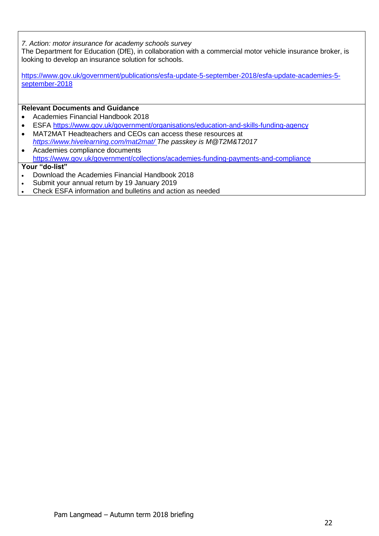*7. Action: motor insurance for academy schools survey*

The Department for Education (DfE), in collaboration with a commercial motor vehicle insurance broker, is looking to develop an insurance solution for schools.

[https://www.gov.uk/government/publications/esfa-update-5-september-2018/esfa-update-academies-5](https://www.gov.uk/government/publications/esfa-update-5-september-2018/esfa-update-academies-5-september-2018) [september-2018](https://www.gov.uk/government/publications/esfa-update-5-september-2018/esfa-update-academies-5-september-2018)

#### **Relevant Documents and Guidance**

- Academies Financial Handbook 2018
- ESFA<https://www.gov.uk/government/organisations/education-and-skills-funding-agency>
- MAT2MAT Headteachers and CEOs can access these resources at *<https://www.hivelearning.com/mat2mat/> The passkey is M@T2M&T2017*
- Academies compliance documents <https://www.gov.uk/government/collections/academies-funding-payments-and-compliance>

- Download the Academies Financial Handbook 2018
- Submit your annual return by 19 January 2019
- Check ESFA information and bulletins and action as needed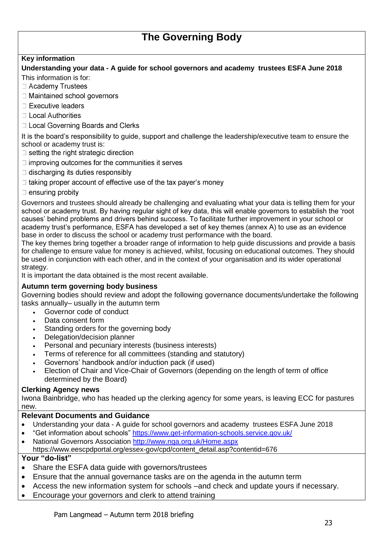# **The Governing Body**

#### **Key information**

## **Understanding your data - A guide for school governors and academy trustees ESFA June 2018**

- This information is for:
- □ Academy Trustees
- □ Maintained school governors
- □ Executive leaders
- □ Local Authorities
- □ Local Governing Boards and Clerks

It is the board's responsibility to guide, support and challenge the leadership/executive team to ensure the school or academy trust is:

- $\Box$  setting the right strategic direction
- $\exists$  improving outcomes for the communities it serves
- $\exists$  discharging its duties responsibly
- I taking proper account of effective use of the tax payer's money
- $\exists$  ensuring probity

Governors and trustees should already be challenging and evaluating what your data is telling them for your school or academy trust. By having regular sight of key data, this will enable governors to establish the 'root causes' behind problems and drivers behind success. To facilitate further improvement in your school or academy trust's performance, ESFA has developed a set of key themes (annex A) to use as an evidence base in order to discuss the school or academy trust performance with the board.

The key themes bring together a broader range of information to help guide discussions and provide a basis for challenge to ensure value for money is achieved, whilst, focusing on educational outcomes. They should be used in conjunction with each other, and in the context of your organisation and its wider operational strategy.

It is important the data obtained is the most recent available.

#### **Autumn term governing body business**

Governing bodies should review and adopt the following governance documents/undertake the following tasks annually– usually in the autumn term

- Governor code of conduct
- Data consent form
- Standing orders for the governing body
- Delegation/decision planner
- Personal and pecuniary interests (business interests)
- Terms of reference for all committees (standing and statutory)
- Governors' handbook and/or induction pack (if used)
- Election of Chair and Vice-Chair of Governors (depending on the length of term of office determined by the Board)

#### **Clerking Agency news**

Iwona Bainbridge, who has headed up the clerking agency for some years, is leaving ECC for pastures new.

#### **Relevant Documents and Guidance**

- Understanding your data A guide for school governors and academy trustees ESFA June 2018
- "Get information about schools"<https://www.get-information-schools.service.gov.uk/>
- National Governors Association<http://www.nga.org.uk/Home.aspx> https://www.eescpdportal.org/essex-gov/cpd/content\_detail.asp?contentid=676

- Share the ESFA data guide with governors/trustees
- Ensure that the annual governance tasks are on the agenda in the autumn term
- Access the new information system for schools –and check and update yours if necessary.
- Encourage your governors and clerk to attend training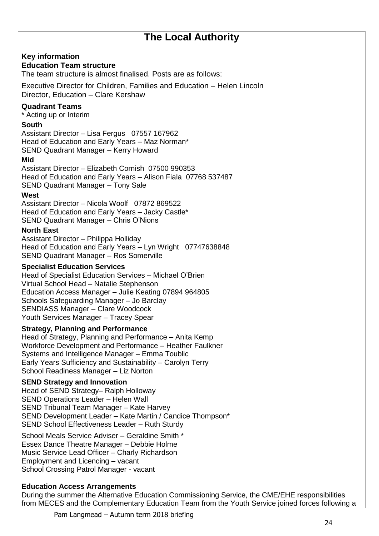# **The Local Authority**

### **Key information**

#### **Education Team structure**

The team structure is almost finalised. Posts are as follows:

Executive Director for Children, Families and Education – Helen Lincoln Director, Education – Clare Kershaw

### **Quadrant Teams**

\* Acting up or Interim

### **South**

Assistant Director – Lisa Fergus 07557 167962 Head of Education and Early Years – Maz Norman\* SEND Quadrant Manager – Kerry Howard

#### **Mid**

Assistant Director – Elizabeth Cornish 07500 990353 Head of Education and Early Years – Alison Fiala 07768 537487 SEND Quadrant Manager – Tony Sale

#### **West**

Assistant Director – Nicola Woolf 07872 869522 Head of Education and Early Years – Jacky Castle\* SEND Quadrant Manager – Chris O'Nions

#### **North East**

Assistant Director – Philippa Holliday Head of Education and Early Years – Lyn Wright 07747638848 SEND Quadrant Manager – Ros Somerville

#### **Specialist Education Services**

Head of Specialist Education Services – Michael O'Brien Virtual School Head – Natalie Stephenson Education Access Manager – Julie Keating 07894 964805 Schools Safeguarding Manager – Jo Barclay SENDIASS Manager – Clare Woodcock Youth Services Manager – Tracey Spear

#### **Strategy, Planning and Performance**

Head of Strategy, Planning and Performance – Anita Kemp Workforce Development and Performance – Heather Faulkner Systems and Intelligence Manager – Emma Toublic Early Years Sufficiency and Sustainability – Carolyn Terry School Readiness Manager – Liz Norton

### **SEND Strategy and Innovation**

Head of SEND Strategy– Ralph Holloway SEND Operations Leader – Helen Wall SEND Tribunal Team Manager – Kate Harvey SEND Development Leader – Kate Martin / Candice Thompson\* SEND School Effectiveness Leader – Ruth Sturdy

School Meals Service Adviser – Geraldine Smith \* Essex Dance Theatre Manager – Debbie Holme Music Service Lead Officer – Charly Richardson Employment and Licencing – vacant School Crossing Patrol Manager - vacant

### **Education Access Arrangements**

During the summer the Alternative Education Commissioning Service, the CME/EHE responsibilities from MECES and the Complementary Education Team from the Youth Service joined forces following a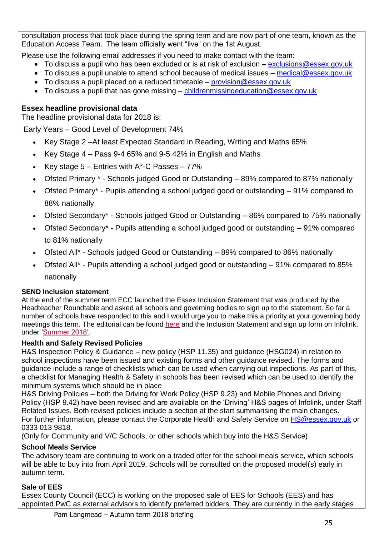consultation process that took place during the spring term and are now part of one team, known as the Education Access Team. The team officially went "live" on the 1st August.

Please use the following email addresses if you need to make contact with the team:

- To discuss a pupil who has been excluded or is at risk of exclusion [exclusions@essex.gov.uk](mailto:exclusions@essex.gov.uk)
- To discuss a pupil unable to attend school because of medical issues [medical@essex.gov.uk](mailto:medical@essex.gov.uk)
- To discuss a pupil placed on a reduced timetable [provision@essex.gov.uk](mailto:provision@essex.gov.uk)
- To discuss a pupil that has gone missing  $-$  childrenmissingeducation @essex.gov.uk

### **Essex headline provisional data**

The headline provisional data for 2018 is:

Early Years – Good Level of Development 74%

- Key Stage 2 –At least Expected Standard in Reading, Writing and Maths 65%
- EXEX Stage  $4 -$  Pass 9-4 65% and 9-5 42% in English and Maths
- EXEX Key stage  $5 -$  Entries with A\*-C Passes  $-77\%$
- Ofsted Primary \* Schools judged Good or Outstanding 89% compared to 87% nationally
- Ofsted Primary\* Pupils attending a school judged good or outstanding 91% compared to 88% nationally
- Ofsted Secondary\* Schools judged Good or Outstanding 86% compared to 75% nationally
- Ofsted Secondary\* Pupils attending a school judged good or outstanding 91% compared to 81% nationally
- Ofsted All\* Schools judged Good or Outstanding 89% compared to 86% nationally
- Ofsted All\* Pupils attending a school judged good or outstanding 91% compared to 85% nationally

### **SEND Inclusion statement**

At the end of the summer term ECC launched the Essex Inclusion Statement that was produced by the Headteacher Roundtable and asked all schools and governing bodies to sign up to the statement. So far a number of schools have responded to this and I would urge you to make this a priority at your governing body meetings this term. The editorial can be found [here](http://links.govdelivery.com/track?type=click&enid=ZWFzPTEmbWFpbGluZ2lkPTIwMTgwOTA0Ljk0NDA5NTgxJm1lc3NhZ2VpZD1NREItUFJELUJVTC0yMDE4MDkwNC45NDQwOTU4MSZkYXRhYmFzZWlkPTEwMDEmc2VyaWFsPTE3MzcyODM4JmVtYWlsaWQ9cGFtQGxhbmdtZWFkLm1lLnVrJnVzZXJpZD1wYW1AbGFuZ21lYWQubWUudWsmZmw9JmV4dHJhPU11bHRpdmFyaWF0ZUlkPSYmJg==&&&100&&&https://schools.essex.gov.uk/info/education-essex/Documents/Issue%2037%20-%202%20July%202018.pdf) and the Inclusion Statement and sign up form on Infolink, under ['Summer 2018'.](http://links.govdelivery.com/track?type=click&enid=ZWFzPTEmbWFpbGluZ2lkPTIwMTgwOTA0Ljk0NDA5NTgxJm1lc3NhZ2VpZD1NREItUFJELUJVTC0yMDE4MDkwNC45NDQwOTU4MSZkYXRhYmFzZWlkPTEwMDEmc2VyaWFsPTE3MzcyODM4JmVtYWlsaWQ9cGFtQGxhbmdtZWFkLm1lLnVrJnVzZXJpZD1wYW1AbGFuZ21lYWQubWUudWsmZmw9JmV4dHJhPU11bHRpdmFyaWF0ZUlkPSYmJg==&&&101&&&https://schools.essex.gov.uk/info/director/Pages/default.aspx)

### **Health and Safety Revised Policies**

H&S Inspection Policy & Guidance – new policy (HSP 11.35) and guidance (HSG024) in relation to school inspections have been issued and existing forms and other guidance revised. The forms and guidance include a range of checklists which can be used when carrying out inspections. As part of this, a checklist for Managing Health & Safety in schools has been revised which can be used to identify the minimum systems which should be in place

H&S Driving Policies – both the Driving for Work Policy (HSP 9.23) and Mobile Phones and Driving Policy (HSP 9.42) have been revised and are available on the 'Driving' H&S pages of Infolink, under Staff Related Issues. Both revised policies include a section at the start summarising the main changes. For further information, please contact the Corporate Health and Safety Service on [HS@essex.gov.uk](mailto:HS@essex.gov.uk) or 0333 013 9818.

(Only for Community and V/C Schools, or other schools which buy into the H&S Service)

### **School Meals Service**

The advisory team are continuing to work on a traded offer for the school meals service, which schools will be able to buy into from April 2019. Schools will be consulted on the proposed model(s) early in autumn term.

### **Sale of EES**

Essex County Council (ECC) is working on the proposed sale of EES for Schools (EES) and has appointed PwC as external advisors to identify preferred bidders. They are currently in the early stages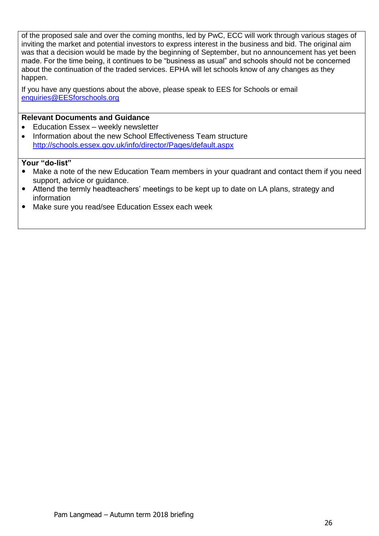of the proposed sale and over the coming months, led by PwC, ECC will work through various stages of inviting the market and potential investors to express interest in the business and bid. The original aim was that a decision would be made by the beginning of September, but no announcement has yet been made. For the time being, it continues to be "business as usual" and schools should not be concerned about the continuation of the traded services. EPHA will let schools know of any changes as they happen.

If you have any questions about the above, please speak to EES for Schools or email [enquiries@EESforschools.org](mailto:enquiries@EESforschools.org)

### **Relevant Documents and Guidance**

- Education Essex weekly newsletter
- Information about the new School Effectiveness Team structure <http://schools.essex.gov.uk/info/director/Pages/default.aspx>

- Make a note of the new Education Team members in your quadrant and contact them if you need support, advice or guidance.
- Attend the termly headteachers' meetings to be kept up to date on LA plans, strategy and information
- Make sure you read/see Education Essex each week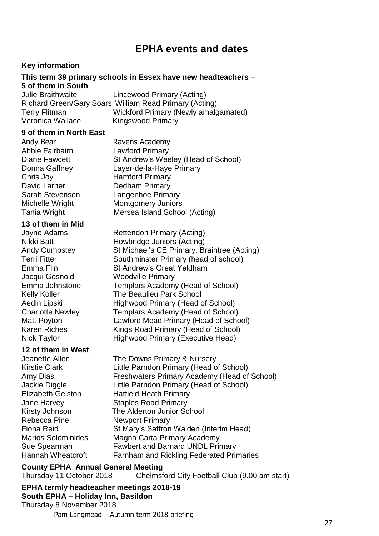# **EPHA events and dates**

### **Key information**

#### **This term 39 primary schools in Essex have new headteachers** – **5 of them in South**

Julie Braithwaite Lincewood Primary (Acting) Richard Green/Gary Soars William Read Primary (Acting) Terry Flitman Wickford Primary (Newly amalgamated) Veronica Wallace Kingswood Primary

### **9 of them in North East**

Andy Bear **Ravens Academy**<br>Abbie Fairbairn **Rawford Primary** Chris Joy Hamford Primary David Larner Dedham Primary

#### **13 of them in Mid**

Nick Taylor **Highwood Primary (Executive Head)** 

#### **12 of them in West**

Rebecca Pine Newport Primary

**Lawford Primary** Diane Fawcett St Andrew's Weeley (Head of School) Donna Gaffney Layer-de-la-Haye Primary Sarah Stevenson Langenhoe Primary Michelle Wright Montgomery Juniors Tania Wright Mersea Island School (Acting) Jayne Adams Rettendon Primary (Acting) Nikki Batt **Howbridge Juniors (Acting)** Andy Cumpstey St Michael's CE Primary, Braintree (Acting) Terri Fitter Southminster Primary (head of school) Emma Flin St Andrew's Great Yeldham Jacqui Gosnold Woodville Primary Emma Johnstone Templars Academy (Head of School) Kelly Koller The Beaulieu Park School Aedin Lipski Highwood Primary (Head of School) Charlotte Newley Templars Academy (Head of School) Matt Poyton Lawford Mead Primary (Head of School) Karen Riches Kings Road Primary (Head of School)

Jeanette Allen The Downs Primary & Nursery Kirstie Clark Little Parndon Primary (Head of School) Amy Dias Freshwaters Primary Academy (Head of School) Jackie Diggle Little Parndon Primary (Head of School) Elizabeth Gelston Hatfield Heath Primary Jane Harvey Staples Road Primary Kirsty Johnson The Alderton Junior School Fiona Reid St Mary's Saffron Walden (Interim Head) Marios Solominides Magna Carta Primary Academy Sue Spearman Fawbert and Barnard UNDL Primary Hannah Wheatcroft Farnham and Rickling Federated Primaries

### **County EPHA Annual General Meeting**

Thursday 11 October 2018 Chelmsford City Football Club (9.00 am start)

**EPHA termly headteacher meetings 2018-19 South EPHA – Holiday Inn, Basildon**  Thursday 8 November 2018

Pam Langmead – Autumn term 2018 briefing